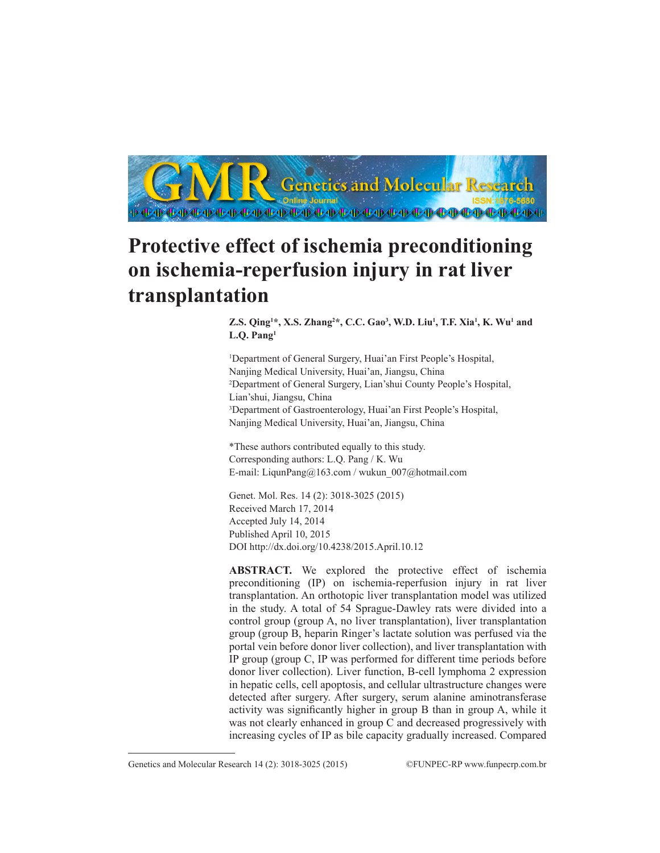

# **Protective effect of ischemia preconditioning on ischemia-reperfusion injury in rat liver transplantation**

# **Z.S. Qing<sup>1\*</sup>, X.S. Zhang<sup>2\*</sup>, C.C. Gao<sup>3</sup>, W.D. Liu<sup>1</sup>, T.F. Xia<sup>1</sup>, K. Wu<sup>1</sup> and L.Q. Pang1**

1 Department of General Surgery, Huai'an First People's Hospital, Nanjing Medical University, Huai'an, Jiangsu, China 2 Department of General Surgery, Lian'shui County People's Hospital, Lian'shui, Jiangsu, China 3 Department of Gastroenterology, Huai'an First People's Hospital, Nanjing Medical University, Huai'an, Jiangsu, China

\*These authors contributed equally to this study. Corresponding authors: L.Q. Pang / K. Wu E-mail: LiqunPang@163.com / wukun\_007@hotmail.com

Genet. Mol. Res. 14 (2): 3018-3025 (2015) Received March 17, 2014 Accepted July 14, 2014 Published April 10, 2015 DOI http://dx.doi.org/10.4238/2015.April.10.12

**ABSTRACT.** We explored the protective effect of ischemia preconditioning (IP) on ischemia-reperfusion injury in rat liver transplantation. An orthotopic liver transplantation model was utilized in the study. A total of 54 Sprague-Dawley rats were divided into a control group (group A, no liver transplantation), liver transplantation group (group B, heparin Ringer's lactate solution was perfused via the portal vein before donor liver collection), and liver transplantation with IP group (group C, IP was performed for different time periods before donor liver collection). Liver function, B-cell lymphoma 2 expression in hepatic cells, cell apoptosis, and cellular ultrastructure changes were detected after surgery. After surgery, serum alanine aminotransferase activity was significantly higher in group B than in group A, while it was not clearly enhanced in group C and decreased progressively with increasing cycles of IP as bile capacity gradually increased. Compared

Genetics and Molecular Research 14 (2): 3018-3025 (2015) ©FUNPEC-RP www.funpecrp.com.br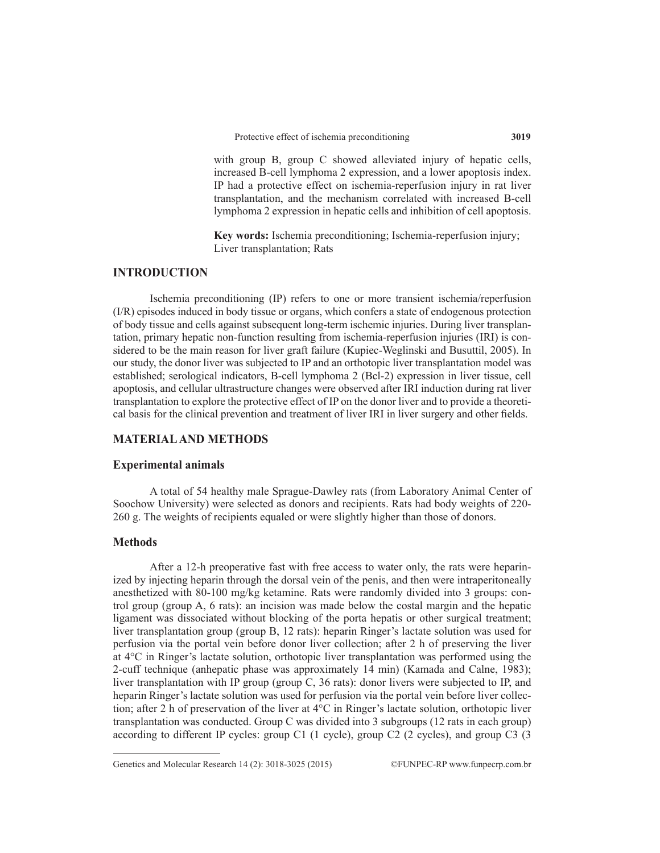with group B, group C showed alleviated injury of hepatic cells, increased B-cell lymphoma 2 expression, and a lower apoptosis index. IP had a protective effect on ischemia-reperfusion injury in rat liver transplantation, and the mechanism correlated with increased B-cell lymphoma 2 expression in hepatic cells and inhibition of cell apoptosis.

**Key words:** Ischemia preconditioning; Ischemia-reperfusion injury; Liver transplantation; Rats

# **INTRODUCTION**

Ischemia preconditioning (IP) refers to one or more transient ischemia/reperfusion (I/R) episodes induced in body tissue or organs, which confers a state of endogenous protection of body tissue and cells against subsequent long-term ischemic injuries. During liver transplantation, primary hepatic non-function resulting from ischemia-reperfusion injuries (IRI) is considered to be the main reason for liver graft failure (Kupiec-Weglinski and Busuttil, 2005). In our study, the donor liver was subjected to IP and an orthotopic liver transplantation model was established; serological indicators, B-cell lymphoma 2 (Bcl-2) expression in liver tissue, cell apoptosis, and cellular ultrastructure changes were observed after IRI induction during rat liver transplantation to explore the protective effect of IP on the donor liver and to provide a theoretical basis for the clinical prevention and treatment of liver IRI in liver surgery and other fields.

# **MATERIAL AND METHODS**

#### **Experimental animals**

A total of 54 healthy male Sprague-Dawley rats (from Laboratory Animal Center of Soochow University) were selected as donors and recipients. Rats had body weights of 220- 260 g. The weights of recipients equaled or were slightly higher than those of donors.

#### **Methods**

After a 12-h preoperative fast with free access to water only, the rats were heparinized by injecting heparin through the dorsal vein of the penis, and then were intraperitoneally anesthetized with 80-100 mg/kg ketamine. Rats were randomly divided into 3 groups: control group (group A, 6 rats): an incision was made below the costal margin and the hepatic ligament was dissociated without blocking of the porta hepatis or other surgical treatment; liver transplantation group (group B, 12 rats): heparin Ringer's lactate solution was used for perfusion via the portal vein before donor liver collection; after 2 h of preserving the liver at 4°C in Ringer's lactate solution, orthotopic liver transplantation was performed using the 2-cuff technique (anhepatic phase was approximately 14 min) (Kamada and Calne, 1983); liver transplantation with IP group (group C, 36 rats): donor livers were subjected to IP, and heparin Ringer's lactate solution was used for perfusion via the portal vein before liver collection; after 2 h of preservation of the liver at 4°C in Ringer's lactate solution, orthotopic liver transplantation was conducted. Group C was divided into 3 subgroups (12 rats in each group) according to different IP cycles: group C1 (1 cycle), group C2 (2 cycles), and group C3 (3

Genetics and Molecular Research 14 (2): 3018-3025 (2015) ©FUNPEC-RP www.funpecrp.com.br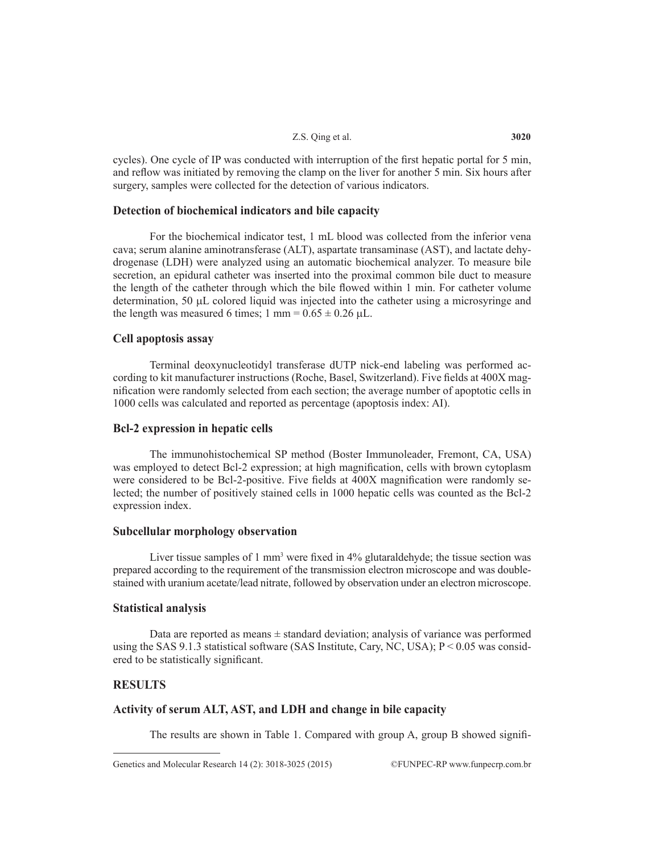cycles). One cycle of IP was conducted with interruption of the first hepatic portal for 5 min, and reflow was initiated by removing the clamp on the liver for another 5 min. Six hours after surgery, samples were collected for the detection of various indicators.

#### **Detection of biochemical indicators and bile capacity**

For the biochemical indicator test, 1 mL blood was collected from the inferior vena cava; serum alanine aminotransferase (ALT), aspartate transaminase (AST), and lactate dehydrogenase (LDH) were analyzed using an automatic biochemical analyzer. To measure bile secretion, an epidural catheter was inserted into the proximal common bile duct to measure the length of the catheter through which the bile flowed within 1 min. For catheter volume determination, 50 µL colored liquid was injected into the catheter using a microsyringe and the length was measured 6 times; 1 mm =  $0.65 \pm 0.26$   $\mu$ L.

# **Cell apoptosis assay**

Terminal deoxynucleotidyl transferase dUTP nick-end labeling was performed according to kit manufacturer instructions (Roche, Basel, Switzerland). Five fields at 400X magnification were randomly selected from each section; the average number of apoptotic cells in 1000 cells was calculated and reported as percentage (apoptosis index: AI).

# **Bcl-2 expression in hepatic cells**

The immunohistochemical SP method (Boster Immunoleader, Fremont, CA, USA) was employed to detect Bcl-2 expression; at high magnification, cells with brown cytoplasm were considered to be Bcl-2-positive. Five fields at 400X magnification were randomly selected; the number of positively stained cells in 1000 hepatic cells was counted as the Bcl-2 expression index.

#### **Subcellular morphology observation**

Liver tissue samples of 1 mm<sup>3</sup> were fixed in 4% glutaraldehyde; the tissue section was prepared according to the requirement of the transmission electron microscope and was doublestained with uranium acetate/lead nitrate, followed by observation under an electron microscope.

#### **Statistical analysis**

Data are reported as means  $\pm$  standard deviation; analysis of variance was performed using the SAS 9.1.3 statistical software (SAS Institute, Cary, NC, USA);  $P \le 0.05$  was considered to be statistically significant.

# **RESULTS**

### **Activity of serum ALT, AST, and LDH and change in bile capacity**

The results are shown in Table 1. Compared with group A, group B showed signifi-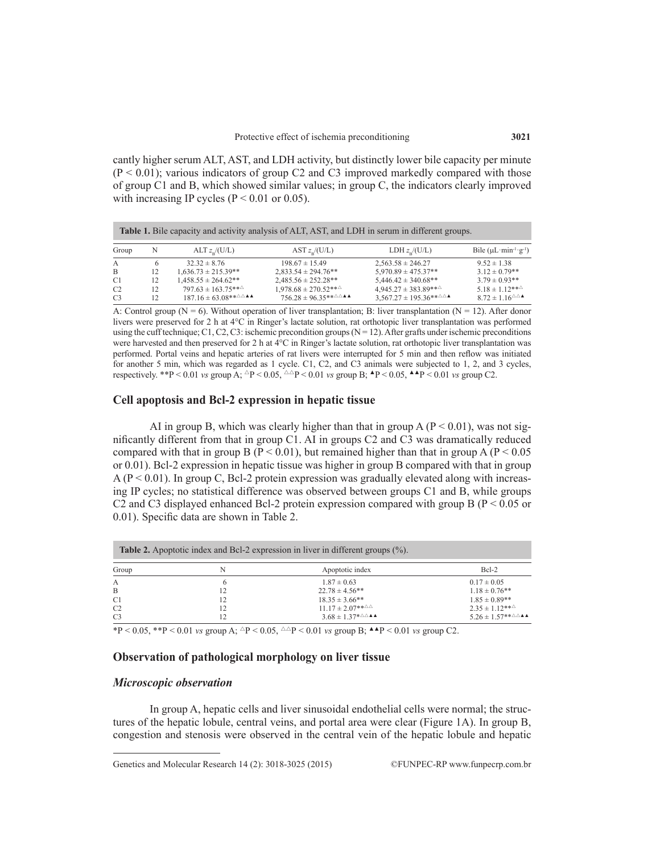cantly higher serum ALT, AST, and LDH activity, but distinctly lower bile capacity per minute  $(P < 0.01)$ ; various indicators of group C2 and C3 improved markedly compared with those of group C1 and B, which showed similar values; in group C, the indicators clearly improved with increasing IP cycles  $(P < 0.01$  or 0.05).

| Group          | N            | ALT $z_{p}$ /(U/L)                               | AST $z_{p}$ /(U/L)                   | LDH $z_{\rm p}$ /(U/L)                         | Bile ( $\mu L$ min <sup>-1</sup> g <sup>-1</sup> )   |  |
|----------------|--------------|--------------------------------------------------|--------------------------------------|------------------------------------------------|------------------------------------------------------|--|
| $\mathbf{A}$   | <sub>(</sub> | $32.32 \pm 8.76$                                 | $198.67 \pm 15.49$                   | $2.563.58 \pm 246.27$                          | $9.52 \pm 1.38$                                      |  |
| <sup>B</sup>   | 12           | $1.636.73 \pm 215.39**$                          | $2,833.54 \pm 294.76$ **             | $5,970.89 \pm 475.37**$                        | $3.12 \pm 0.79**$                                    |  |
| C1             | 12           | $1.458.55 \pm 264.62**$                          | $2.485.56 \pm 252.28**$              | $5.446.42 \pm 340.68$ **                       | $3.79 \pm 0.93**$                                    |  |
| C <sub>2</sub> | 12           | $797.63 \pm 163.75***$                           | $1,978.68 \pm 270.52$ ** $\triangle$ | $4.945.27 \pm 383.89$ ** <sup>△</sup>          | $5.18 \pm 1.12***$                                   |  |
| C <sub>3</sub> | 12           | $187.16 \pm 63.08$ ** $\triangle$ $\triangle$ ** | $756.28 \pm 96.35***^{\triangle}\&$  | $3,567.27 \pm 195.36$ ** $\triangle \triangle$ | $8.72 \pm 1.16^{\triangle \triangle \blacktriangle}$ |  |

**Table 1.** Bile capacity and activity analysis of ALT, AST, and LDH in serum in different groups.

A: Control group ( $N = 6$ ). Without operation of liver transplantation; B: liver transplantation ( $N = 12$ ). After donor livers were preserved for 2 h at 4°C in Ringer's lactate solution, rat orthotopic liver transplantation was performed using the cuff technique; C1, C2, C3: ischemic precondition groups  $(N = 12)$ . After grafts under ischemic preconditions were harvested and then preserved for 2 h at 4°C in Ringer's lactate solution, rat orthotopic liver transplantation was performed. Portal veins and hepatic arteries of rat livers were interrupted for 5 min and then reflow was initiated for another 5 min, which was regarded as 1 cycle. C1, C2, and C3 animals were subjected to 1, 2, and 3 cycles, respectively. \*\*P < 0.01 *vs* group A;  $\Delta P$  < 0.05,  $\Delta \Delta P$  < 0.01 *vs* group B;  $\Delta P$  < 0.05,  $\Delta \Delta P$  < 0.01 *vs* group C2.

## **Cell apoptosis and Bcl-2 expression in hepatic tissue**

AI in group B, which was clearly higher than that in group A ( $P < 0.01$ ), was not significantly different from that in group C1. AI in groups C2 and C3 was dramatically reduced compared with that in group B ( $P \le 0.01$ ), but remained higher than that in group A ( $P \le 0.05$ ) or 0.01). Bcl-2 expression in hepatic tissue was higher in group B compared with that in group  $A (P < 0.01)$ . In group C, Bcl-2 protein expression was gradually elevated along with increasing IP cycles; no statistical difference was observed between groups C1 and B, while groups C2 and C3 displayed enhanced Bcl-2 protein expression compared with group B ( $P < 0.05$  or 0.01). Specific data are shown in Table 2.

| <b>Table 2.</b> Apoptotic index and Bcl-2 expression in liver in different groups (%). |    |                                             |                                                             |  |  |  |
|----------------------------------------------------------------------------------------|----|---------------------------------------------|-------------------------------------------------------------|--|--|--|
| Group                                                                                  |    | Apoptotic index                             | Bcl-2                                                       |  |  |  |
| $\mathbf{A}$                                                                           | 6  | $1.87 \pm 0.63$                             | $0.17 \pm 0.05$                                             |  |  |  |
| B                                                                                      | 12 | $22.78 \pm 4.56**$                          | $1.18 \pm 0.76$ **                                          |  |  |  |
| C1                                                                                     | 12 | $18.35 \pm 3.66$ **                         | $1.85 \pm 0.89**$                                           |  |  |  |
| C <sub>2</sub>                                                                         | 12 | $11.17 \pm 2.07$ ** $\triangle$             | $2.35 \pm 1.12***^{\triangle}$                              |  |  |  |
| C <sub>3</sub>                                                                         | 12 | $3.68 \pm 1.37$ * $\triangle$ $\triangle$ A | $5.26 \pm 1.57$ ** $\triangle$ $\triangle$ $\blacktriangle$ |  |  |  |

\*P < 0.05, \*\*P < 0.01 *vs* group A; △P < 0.05, △△P < 0.01 *vs* group B; ▲▲P < 0.01 *vs* group C2.

# **Observation of pathological morphology on liver tissue**

#### *Microscopic observation*

In group A, hepatic cells and liver sinusoidal endothelial cells were normal; the structures of the hepatic lobule, central veins, and portal area were clear (Figure 1A). In group B, congestion and stenosis were observed in the central vein of the hepatic lobule and hepatic

Genetics and Molecular Research 14 (2): 3018-3025 (2015) ©FUNPEC-RP www.funpecrp.com.br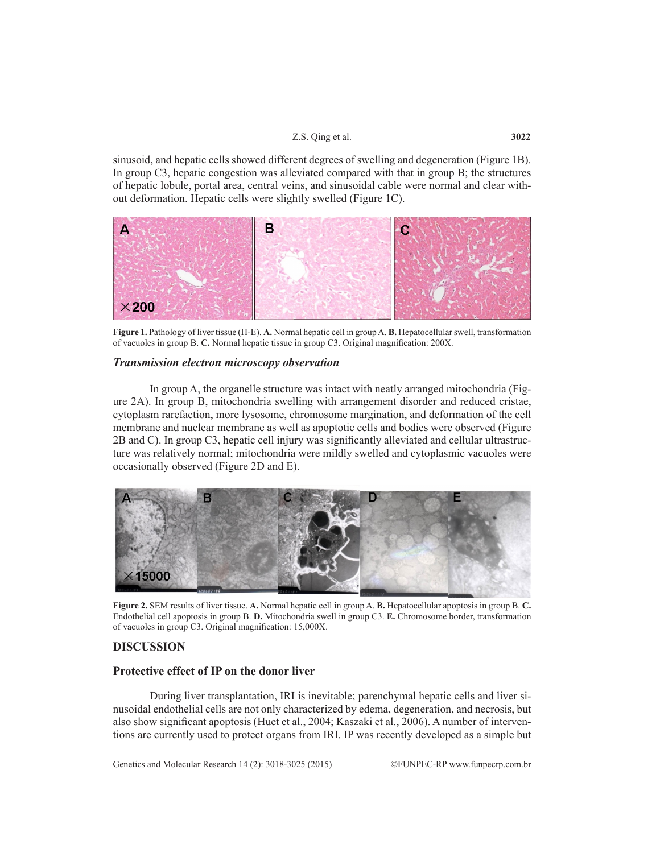# Z.S. Qing et al. **3022**

sinusoid, and hepatic cells showed different degrees of swelling and degeneration (Figure 1B). In group C3, hepatic congestion was alleviated compared with that in group B; the structures of hepatic lobule, portal area, central veins, and sinusoidal cable were normal and clear without deformation. Hepatic cells were slightly swelled (Figure 1C).



**Figure 1.** Pathology of liver tissue (H-E). **A.** Normal hepatic cell in group A. **B.** Hepatocellular swell, transformation of vacuoles in group B. **C.** Normal hepatic tissue in group C3. Original magnification: 200X.

#### *Transmission electron microscopy observation*

In group A, the organelle structure was intact with neatly arranged mitochondria (Figure 2A). In group B, mitochondria swelling with arrangement disorder and reduced cristae, cytoplasm rarefaction, more lysosome, chromosome margination, and deformation of the cell membrane and nuclear membrane as well as apoptotic cells and bodies were observed (Figure 2B and C). In group C3, hepatic cell injury was significantly alleviated and cellular ultrastructure was relatively normal; mitochondria were mildly swelled and cytoplasmic vacuoles were occasionally observed (Figure 2D and E).



**Figure 2.** SEM results of liver tissue. **A.** Normal hepatic cell in group A. **B.** Hepatocellular apoptosis in group B. **C.** Endothelial cell apoptosis in group B. **D.** Mitochondria swell in group C3. **E.** Chromosome border, transformation of vacuoles in group C3. Original magnification: 15,000X.

# **DISCUSSION**

### **Protective effect of IP on the donor liver**

During liver transplantation, IRI is inevitable; parenchymal hepatic cells and liver sinusoidal endothelial cells are not only characterized by edema, degeneration, and necrosis, but also show significant apoptosis (Huet et al., 2004; Kaszaki et al., 2006). A number of interventions are currently used to protect organs from IRI. IP was recently developed as a simple but

Genetics and Molecular Research 14 (2): 3018-3025 (2015) ©FUNPEC-RP www.funpecrp.com.br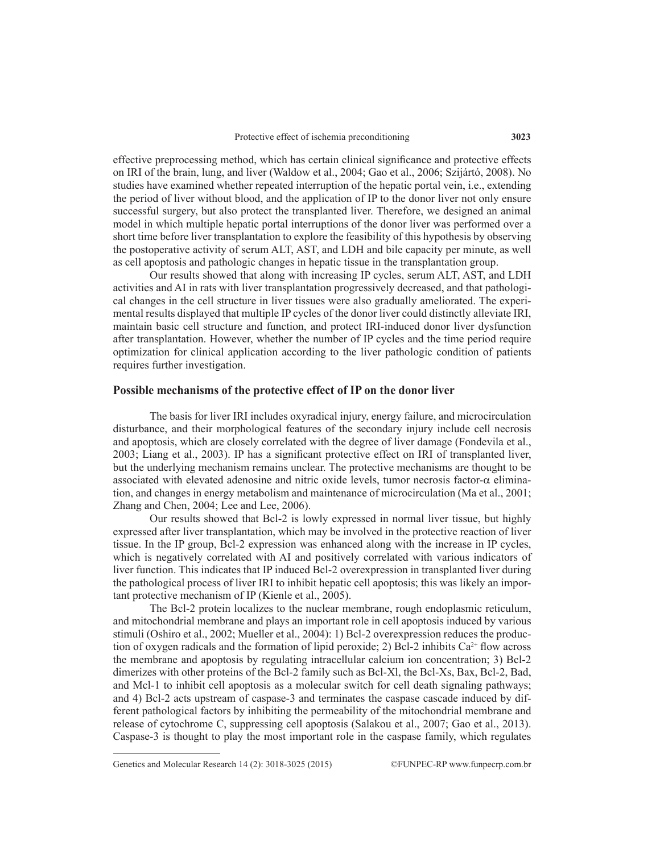effective preprocessing method, which has certain clinical significance and protective effects on IRI of the brain, lung, and liver (Waldow et al., 2004; Gao et al., 2006; Szijártó, 2008). No studies have examined whether repeated interruption of the hepatic portal vein, i.e., extending the period of liver without blood, and the application of IP to the donor liver not only ensure successful surgery, but also protect the transplanted liver. Therefore, we designed an animal model in which multiple hepatic portal interruptions of the donor liver was performed over a short time before liver transplantation to explore the feasibility of this hypothesis by observing the postoperative activity of serum ALT, AST, and LDH and bile capacity per minute, as well as cell apoptosis and pathologic changes in hepatic tissue in the transplantation group.

Our results showed that along with increasing IP cycles, serum ALT, AST, and LDH activities and AI in rats with liver transplantation progressively decreased, and that pathological changes in the cell structure in liver tissues were also gradually ameliorated. The experimental results displayed that multiple IP cycles of the donor liver could distinctly alleviate IRI, maintain basic cell structure and function, and protect IRI-induced donor liver dysfunction after transplantation. However, whether the number of IP cycles and the time period require optimization for clinical application according to the liver pathologic condition of patients requires further investigation.

# **Possible mechanisms of the protective effect of IP on the donor liver**

The basis for liver IRI includes oxyradical injury, energy failure, and microcirculation disturbance, and their morphological features of the secondary injury include cell necrosis and apoptosis, which are closely correlated with the degree of liver damage (Fondevila et al., 2003; Liang et al., 2003). IP has a significant protective effect on IRI of transplanted liver, but the underlying mechanism remains unclear. The protective mechanisms are thought to be associated with elevated adenosine and nitric oxide levels, tumor necrosis factor- $\alpha$  elimination, and changes in energy metabolism and maintenance of microcirculation (Ma et al., 2001; Zhang and Chen, 2004; Lee and Lee, 2006).

Our results showed that Bcl-2 is lowly expressed in normal liver tissue, but highly expressed after liver transplantation, which may be involved in the protective reaction of liver tissue. In the IP group, Bcl-2 expression was enhanced along with the increase in IP cycles, which is negatively correlated with AI and positively correlated with various indicators of liver function. This indicates that IP induced Bcl-2 overexpression in transplanted liver during the pathological process of liver IRI to inhibit hepatic cell apoptosis; this was likely an important protective mechanism of IP (Kienle et al., 2005).

The Bcl-2 protein localizes to the nuclear membrane, rough endoplasmic reticulum, and mitochondrial membrane and plays an important role in cell apoptosis induced by various stimuli (Oshiro et al., 2002; Mueller et al., 2004): 1) Bcl-2 overexpression reduces the production of oxygen radicals and the formation of lipid peroxide; 2) Bcl-2 inhibits  $Ca^{2+}$  flow across the membrane and apoptosis by regulating intracellular calcium ion concentration; 3) Bcl-2 dimerizes with other proteins of the Bcl-2 family such as Bcl-Xl, the Bcl-Xs, Bax, Bcl-2, Bad, and Mcl-1 to inhibit cell apoptosis as a molecular switch for cell death signaling pathways; and 4) Bcl-2 acts upstream of caspase-3 and terminates the caspase cascade induced by different pathological factors by inhibiting the permeability of the mitochondrial membrane and release of cytochrome C, suppressing cell apoptosis (Salakou et al., 2007; Gao et al., 2013). Caspase-3 is thought to play the most important role in the caspase family, which regulates

Genetics and Molecular Research 14 (2): 3018-3025 (2015) ©FUNPEC-RP www.funpecrp.com.br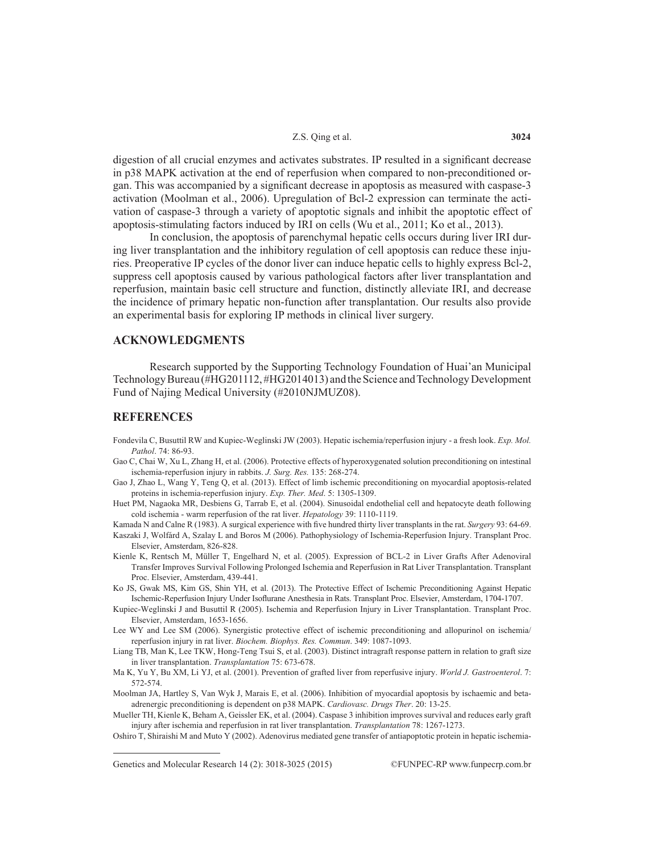#### Z.S. Qing et al. **3024**

digestion of all crucial enzymes and activates substrates. IP resulted in a significant decrease in p38 MAPK activation at the end of reperfusion when compared to non-preconditioned organ. This was accompanied by a significant decrease in apoptosis as measured with caspase-3 activation (Moolman et al., 2006). Upregulation of Bcl-2 expression can terminate the activation of caspase-3 through a variety of apoptotic signals and inhibit the apoptotic effect of apoptosis-stimulating factors induced by IRI on cells (Wu et al., 2011; Ko et al., 2013).

In conclusion, the apoptosis of parenchymal hepatic cells occurs during liver IRI during liver transplantation and the inhibitory regulation of cell apoptosis can reduce these injuries. Preoperative IP cycles of the donor liver can induce hepatic cells to highly express Bcl-2, suppress cell apoptosis caused by various pathological factors after liver transplantation and reperfusion, maintain basic cell structure and function, distinctly alleviate IRI, and decrease the incidence of primary hepatic non-function after transplantation. Our results also provide an experimental basis for exploring IP methods in clinical liver surgery.

#### **ACKNOWLEDGMENTS**

Research supported by the Supporting Technology Foundation of Huai'an Municipal Technology Bureau (#HG201112, #HG2014013) and the Science and Technology Development Fund of Najing Medical University (#2010NJMUZ08).

### **REFERENCES**

- Fondevila C, Busuttil RW and Kupiec-Weglinski JW (2003). Hepatic ischemia/reperfusion injury a fresh look. *Exp. Mol. Pathol*. 74: 86-93.
- Gao C, Chai W, Xu L, Zhang H, et al. (2006). Protective effects of hyperoxygenated solution preconditioning on intestinal ischemia-reperfusion injury in rabbits. *J. Surg. Res.* 135: 268-274.
- Gao J, Zhao L, Wang Y, Teng Q, et al. (2013). Effect of limb ischemic preconditioning on myocardial apoptosis-related proteins in ischemia-reperfusion injury. *Exp. Ther. Med*. 5: 1305-1309.
- Huet PM, Nagaoka MR, Desbiens G, Tarrab E, et al. (2004). Sinusoidal endothelial cell and hepatocyte death following cold ischemia - warm reperfusion of the rat liver. *Hepatology* 39: 1110-1119.
- Kamada N and Calne R (1983). A surgical experience with five hundred thirty liver transplants in the rat. *Surgery* 93: 64-69.
- Kaszaki J, Wolfárd A, Szalay L and Boros M (2006). Pathophysiology of Ischemia-Reperfusion Injury. Transplant Proc. Elsevier, Amsterdam, 826-828.
- Kienle K, Rentsch M, Müller T, Engelhard N, et al. (2005). Expression of BCL-2 in Liver Grafts After Adenoviral Transfer Improves Survival Following Prolonged Ischemia and Reperfusion in Rat Liver Transplantation. Transplant Proc. Elsevier, Amsterdam, 439-441.
- Ko JS, Gwak MS, Kim GS, Shin YH, et al. (2013). The Protective Effect of Ischemic Preconditioning Against Hepatic Ischemic-Reperfusion Injury Under Isoflurane Anesthesia in Rats. Transplant Proc. Elsevier, Amsterdam, 1704-1707.
- Kupiec-Weglinski J and Busuttil R (2005). Ischemia and Reperfusion Injury in Liver Transplantation. Transplant Proc. Elsevier, Amsterdam, 1653-1656.
- Lee WY and Lee SM (2006). Synergistic protective effect of ischemic preconditioning and allopurinol on ischemia/ reperfusion injury in rat liver. *Biochem. Biophys. Res. Commun*. 349: 1087-1093.
- Liang TB, Man K, Lee TKW, Hong-Teng Tsui S, et al. (2003). Distinct intragraft response pattern in relation to graft size in liver transplantation. *Transplantation* 75: 673-678.
- Ma K, Yu Y, Bu XM, Li YJ, et al. (2001). Prevention of grafted liver from reperfusive injury. *World J. Gastroenterol*. 7: 572-574.
- Moolman JA, Hartley S, Van Wyk J, Marais E, et al. (2006). Inhibition of myocardial apoptosis by ischaemic and betaadrenergic preconditioning is dependent on p38 MAPK. *Cardiovasc. Drugs Ther*. 20: 13-25.
- Mueller TH, Kienle K, Beham A, Geissler EK, et al. (2004). Caspase 3 inhibition improves survival and reduces early graft injury after ischemia and reperfusion in rat liver transplantation. *Transplantation* 78: 1267-1273.
- Oshiro T, Shiraishi M and Muto Y (2002). Adenovirus mediated gene transfer of antiapoptotic protein in hepatic ischemia-

Genetics and Molecular Research 14 (2): 3018-3025 (2015) ©FUNPEC-RP www.funpecrp.com.br